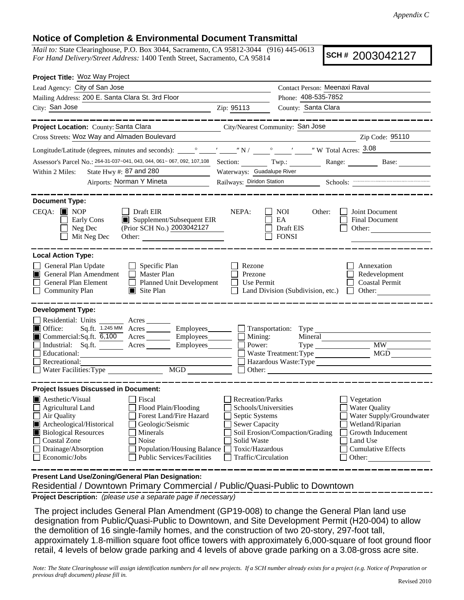## **Notice of Completion & Environmental Document Transmittal**

*Mail to:* State Clearinghouse, P.O. Box 3044, Sacramento, CA 95812-3044 (916) 445-0613 *For Hand Delivery/Street Address:* 1400 Tenth Street, Sacramento, CA 95814

**SCH #** 2003042127

| Project Title: Woz Way Project                                                                                                                                                                                                                                                                                                                                                       |                                                                                                                                       |                                                                                    |                                                                                                                                                            |  |
|--------------------------------------------------------------------------------------------------------------------------------------------------------------------------------------------------------------------------------------------------------------------------------------------------------------------------------------------------------------------------------------|---------------------------------------------------------------------------------------------------------------------------------------|------------------------------------------------------------------------------------|------------------------------------------------------------------------------------------------------------------------------------------------------------|--|
| Lead Agency: City of San Jose                                                                                                                                                                                                                                                                                                                                                        | Contact Person: Meenaxi Raval                                                                                                         |                                                                                    |                                                                                                                                                            |  |
| Mailing Address: 200 E. Santa Clara St. 3rd Floor                                                                                                                                                                                                                                                                                                                                    |                                                                                                                                       | Phone: 408-535-7852                                                                |                                                                                                                                                            |  |
| City: San Jose<br><u> 1989 - Johann Barn, fransk politik (d. 1989)</u>                                                                                                                                                                                                                                                                                                               | Zip: 95113                                                                                                                            | County: Santa Clara                                                                |                                                                                                                                                            |  |
| ______                                                                                                                                                                                                                                                                                                                                                                               |                                                                                                                                       |                                                                                    | . __ __ __ __ __ __ __ __ __                                                                                                                               |  |
| Project Location: County: Santa Clara                                                                                                                                                                                                                                                                                                                                                |                                                                                                                                       | City/Nearest Community: San Jose                                                   |                                                                                                                                                            |  |
| Cross Streets: Woz Way and Almaden Boulevard                                                                                                                                                                                                                                                                                                                                         |                                                                                                                                       |                                                                                    | Zip Code: 95110                                                                                                                                            |  |
|                                                                                                                                                                                                                                                                                                                                                                                      |                                                                                                                                       |                                                                                    |                                                                                                                                                            |  |
| Assessor's Parcel No.: 264-31-037~041, 043, 044, 061~ 067, 092, 107, 108 Section: Twp.: Range: Range: Base:                                                                                                                                                                                                                                                                          |                                                                                                                                       |                                                                                    |                                                                                                                                                            |  |
| State Hwy #: 87 and 280<br>Within 2 Miles:                                                                                                                                                                                                                                                                                                                                           | Waterways: Guadalupe River                                                                                                            |                                                                                    |                                                                                                                                                            |  |
| <b>Airports: Norman Y Mineta</b>                                                                                                                                                                                                                                                                                                                                                     |                                                                                                                                       |                                                                                    | Railways: Diridon Station Schools:                                                                                                                         |  |
| <b>Document Type:</b><br>$CEQA:$ MOP<br>$\Box$ Draft EIR<br>Supplement/Subsequent EIR<br>Early Cons<br>(Prior SCH No.) 2003042127<br>$\Box$ Neg Dec<br>Mit Neg Dec<br>Other:                                                                                                                                                                                                         | NEPA:                                                                                                                                 | NOI<br>Other:<br>EA<br>Draft EIS<br><b>FONSI</b>                                   | Joint Document<br><b>Final Document</b><br>Other:                                                                                                          |  |
| <b>Local Action Type:</b><br>General Plan Update<br>$\Box$ Specific Plan<br>General Plan Amendment<br>Master Plan<br>$\Box$<br>ITI<br>General Plan Element<br>Planned Unit Development<br><b>Community Plan</b><br>$\Box$ Site Plan<br>⊔                                                                                                                                             | Rezone<br>Prezone<br>Use Permit                                                                                                       | Land Division (Subdivision, etc.) $\Box$ Other:                                    | Annexation<br>Redevelopment<br><b>Coastal Permit</b>                                                                                                       |  |
| <b>Development Type:</b>                                                                                                                                                                                                                                                                                                                                                             |                                                                                                                                       |                                                                                    |                                                                                                                                                            |  |
| Residential: Units _________ Acres _______<br>$\Box$<br>Office:<br>Sq.ft. 1.245 MM Acres Employees Transportation: Type<br>Commercial:Sq.ft. 6,100 Acres Employees<br>Industrial: Sq.ft.<br>Employees<br>Acres<br>Educational:<br>Recreational:<br>$\begin{tabular}{ c c } \hline \text{MGD} & \text{---} \\ \hline \end{tabular}$<br>Water Facilities: Type                         | Mining:<br>Power:                                                                                                                     | Mineral<br>$Type \_\_$<br>Waste Treatment: Type<br>Hazardous Waste: Type<br>Other: | $\overline{\text{MW}}$<br>MGD                                                                                                                              |  |
| <b>Project Issues Discussed in Document:</b>                                                                                                                                                                                                                                                                                                                                         |                                                                                                                                       |                                                                                    |                                                                                                                                                            |  |
| $\blacksquare$ Aesthetic/Visual<br>Fiscal<br>$\Box$ Flood Plain/Flooding<br><b>Agricultural Land</b><br>Forest Land/Fire Hazard<br>Air Quality<br>Archeological/Historical<br>Geologic/Seismic<br><b>Biological Resources</b><br>Minerals<br><b>Coastal Zone</b><br>Noise<br>Drainage/Absorption<br>Population/Housing Balance<br><b>Public Services/Facilities</b><br>Economic/Jobs | Recreation/Parks<br>Schools/Universities<br>Septic Systems<br>Sewer Capacity<br>Solid Waste<br>Toxic/Hazardous<br>Traffic/Circulation | Soil Erosion/Compaction/Grading                                                    | Vegetation<br><b>Water Quality</b><br>Water Supply/Groundwater<br>Wetland/Riparian<br>Growth Inducement<br>Land Use<br><b>Cumulative Effects</b><br>Other: |  |
| Present Land Use/Zoning/General Plan Designation:                                                                                                                                                                                                                                                                                                                                    |                                                                                                                                       |                                                                                    |                                                                                                                                                            |  |

Residential / Downtown Primary Commercial / Public/Quasi-Public to Downtown

**Project Description:** *(please use a separate page if necessary)*

 The project includes General Plan Amendment (GP19-008) to change the General Plan land use designation from Public/Quasi-Public to Downtown, and Site Development Permit (H20-004) to allow the demolition of 16 single-family homes, and the construction of two 20-story, 297-foot tall, approximately 1.8-million square foot office towers with approximately 6,000-square of foot ground floor retail, 4 levels of below grade parking and 4 levels of above grade parking on a 3.08-gross acre site.

*Note: The State Clearinghouse will assign identification numbers for all new projects. If a SCH number already exists for a project (e.g. Notice of Preparation or previous draft document) please fill in.*